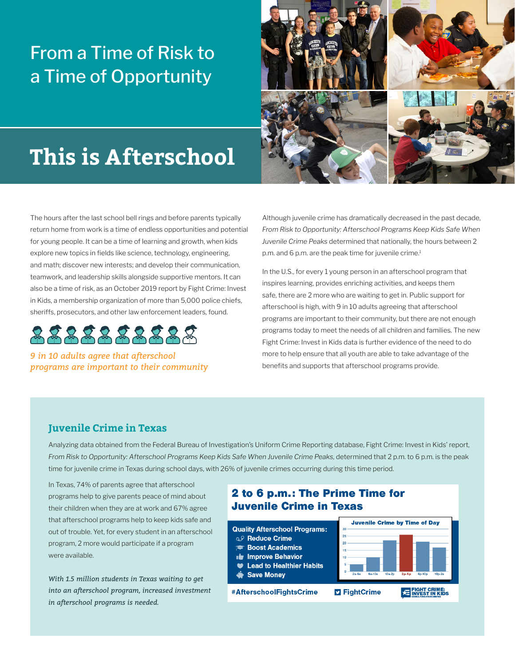## From a Time of Risk to a Time of Opportunity



# **This is Afterschool**

The hours after the last school bell rings and before parents typically return home from work is a time of endless opportunities and potential for young people. It can be a time of learning and growth, when kids explore new topics in fields like science, technology, engineering, and math; discover new interests; and develop their communication, teamwork, and leadership skills alongside supportive mentors. It can also be a time of risk, as an October 2019 report by Fight Crime: Invest in Kids, a membership organization of more than 5,000 police chiefs, sheriffs, prosecutors, and other law enforcement leaders, found.



*9 in 10 adults agree that afterschool programs are important to their community* Although juvenile crime has dramatically decreased in the past decade, *From Risk to Opportunity: Afterschool Programs Keep Kids Safe When Juvenile Crime Peaks* determined that nationally, the hours between 2 p.m. and 6 p.m. are the peak time for juvenile crime.<sup>1</sup>

In the U.S., for every 1 young person in an afterschool program that inspires learning, provides enriching activities, and keeps them safe, there are 2 more who are waiting to get in. Public support for afterschool is high, with 9 in 10 adults agreeing that afterschool programs are important to their community, but there are not enough programs today to meet the needs of all children and families. The new Fight Crime: Invest in Kids data is further evidence of the need to do more to help ensure that all youth are able to take advantage of the benefits and supports that afterschool programs provide.

#### **Juvenile Crime in Texas**

Analyzing data obtained from the Federal Bureau of Investigation's Uniform Crime Reporting database, Fight Crime: Invest in Kids' report, *From Risk to Opportunity: Afterschool Programs Keep Kids Safe When Juvenile Crime Peaks,* determined that 2 p.m. to 6 p.m. is the peak time for juvenile crime in Texas during school days, with 26% of juvenile crimes occurring during this time period.

In Texas, 74% of parents agree that afterschool programs help to give parents peace of mind about their children when they are at work and 67% agree that afterschool programs help to keep kids safe and out of trouble. Yet, for every student in an afterschool program, 2 more would participate if a program were available.

*With 1.5 million students in Texas waiting to get into an afterschool program, increased investment in afterschool programs is needed.*